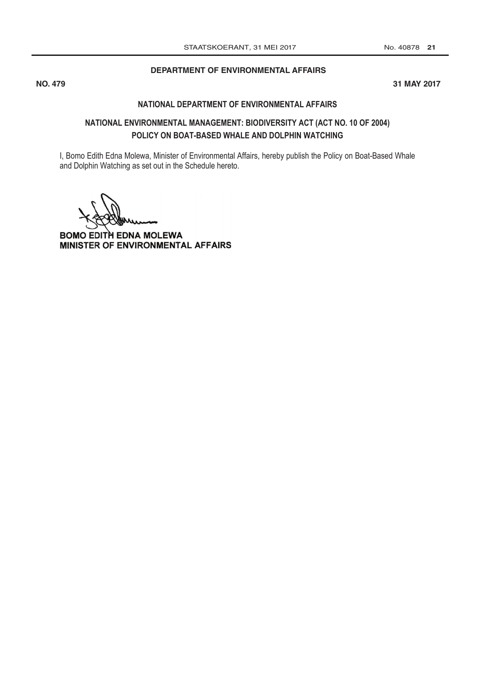## [DEPARTMENT OF ENVIRONMENTAL AFFAIRS](http://www.greengazette.co.za/departments/envonmental)

**NO. 479 31 MAY 2017 No. 2017 Contract to the contract of the contract of the contract of the contract of the contract of the contract of the contract of the contract of the contract of the contract of the contract of the contract of the co** 

## **NATIONAL [DEPARTMENT OF ENVIRONMENTAL AFFAIRS](http://www.greengazette.co.za/departments/envonmental)**

## **NATIONAL ENVIRONMENTAL MANAGEMENT: BIODIVERSITY ACT (ACT NO. 10 OF 2004) POLICY ON BOAT-BASED WHALE AND DOLPHIN WATCHING**

I, Bomo Edith Edna Molewa, Minister of Environmental Affairs, hereby publish the Policy on Boat-Based Whale and Dolphin Watching as set out in the Schedule hereto.

**BOMO EDITH EDNA MOLEWA** MINISTER OF ENVIRONMENTAL AFFAIRS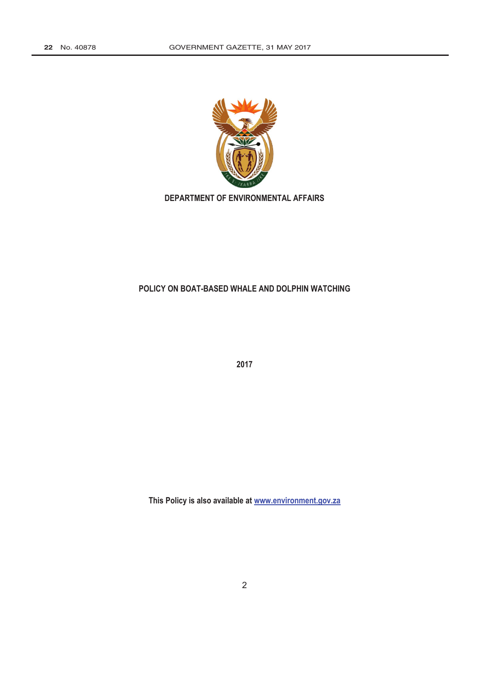

**[DEPARTMENT OF ENVIRONMENTAL AFFAIRS](http://www.greengazette.co.za/departments/envonmental)**

## **POLICY ON BOAT-BASED WHALE AND DOLPHIN WATCHING**

**2017**

**This Policy is also available at www.environment.gov.za**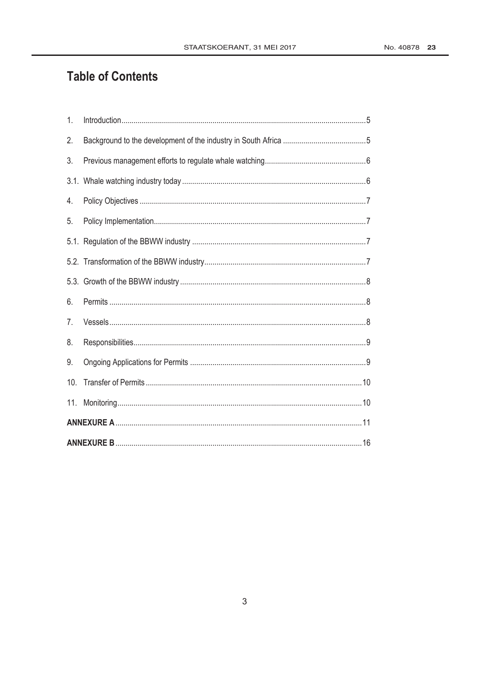# **Table of Contents**

| 1.  |  |  |
|-----|--|--|
| 2.  |  |  |
| 3.  |  |  |
|     |  |  |
| 4.  |  |  |
| 5.  |  |  |
|     |  |  |
|     |  |  |
|     |  |  |
| 6.  |  |  |
| 7.  |  |  |
| 8.  |  |  |
| 9.  |  |  |
| 10. |  |  |
| 11. |  |  |
|     |  |  |
|     |  |  |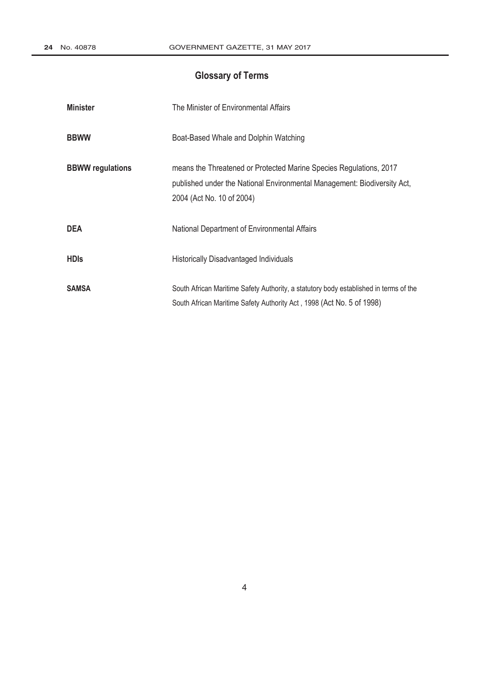## **Glossary of Terms**

| <b>Minister</b>         | The Minister of Environmental Affairs                                                                                                                                       |
|-------------------------|-----------------------------------------------------------------------------------------------------------------------------------------------------------------------------|
| <b>BBWW</b>             | Boat-Based Whale and Dolphin Watching                                                                                                                                       |
| <b>BBWW regulations</b> | means the Threatened or Protected Marine Species Regulations, 2017<br>published under the National Environmental Management: Biodiversity Act,<br>2004 (Act No. 10 of 2004) |
| <b>DEA</b>              | National Department of Environmental Affairs                                                                                                                                |
| <b>HDIS</b>             | <b>Historically Disadvantaged Individuals</b>                                                                                                                               |
| <b>SAMSA</b>            | South African Maritime Safety Authority, a statutory body established in terms of the<br>South African Maritime Safety Authority Act, 1998 (Act No. 5 of 1998)              |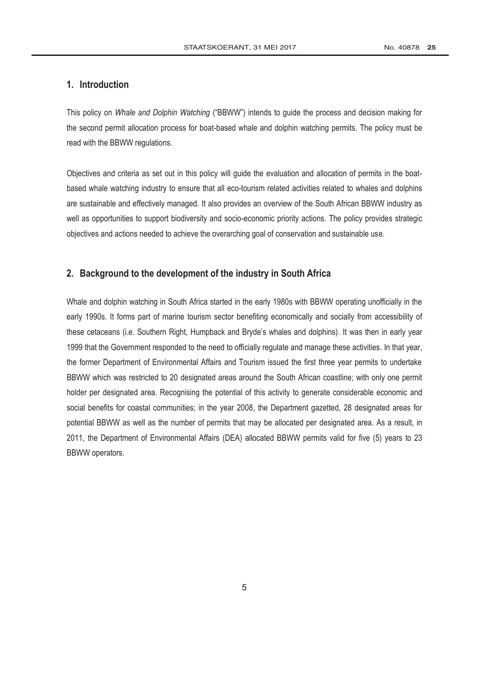## **1. Introduction**

This policy on *Whale and Dolphin Watching* ("BBWW") intends to guide the process and decision making for the second permit allocation process for boat-based whale and dolphin watching permits. The policy must be read with the BBWW regulations.

Objectives and criteria as set out in this policy will guide the evaluation and allocation of permits in the boatbased whale watching industry to ensure that all eco-tourism related activities related to whales and dolphins are sustainable and effectively managed. It also provides an overview of the South African BBWW industry as well as opportunities to support biodiversity and socio-economic priority actions. The policy provides strategic objectives and actions needed to achieve the overarching goal of conservation and sustainable use.

## **2. Background to the development of the industry in South Africa**

Whale and dolphin watching in South Africa started in the early 1980s with BBWW operating unofficially in the early 1990s. It forms part of marine tourism sector benefiting economically and socially from accessibility of these cetaceans (i.e. Southern Right, Humpback and Bryde's whales and dolphins). It was then in early year 1999 that the Government responded to the need to officially regulate and manage these activities. In that year, the former [Department of Environmental Affairs](http://www.greengazette.co.za/departments/envonmental) and Tourism issued the first three year permits to undertake BBWW which was restricted to 20 designated areas around the South African coastline; with only one permit holder per designated area. Recognising the potential of this activity to generate considerable economic and social benefits for coastal communities; in the year 2008, the Department gazetted, 28 designated areas for potential BBWW as well as the number of permits that may be allocated per designated area. As a result, in 2011, the [Department of Environmental Affairs](http://www.greengazette.co.za/departments/envonmental) (DEA) allocated BBWW permits valid for five (5) years to 23 BBWW operators.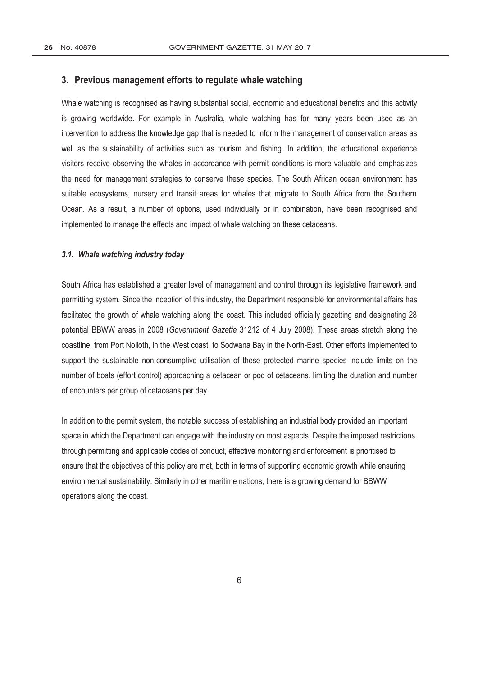#### **3. Previous management efforts to regulate whale watching**

Whale watching is recognised as having substantial social, economic and educational benefits and this activity is growing worldwide. For example in Australia, whale watching has for many years been used as an intervention to address the knowledge gap that is needed to inform the management of conservation areas as well as the sustainability of activities such as tourism and fishing. In addition, the educational experience visitors receive observing the whales in accordance with permit conditions is more valuable and emphasizes the need for management strategies to conserve these species. The South African ocean environment has suitable ecosystems, nursery and transit areas for whales that migrate to South Africa from the Southern Ocean. As a result, a number of options, used individually or in combination, have been recognised and implemented to manage the effects and impact of whale watching on these cetaceans.

#### *3.1. Whale watching industry today*

South Africa has established a greater level of management and control through its legislative framework and permitting system. Since the inception of this industry, the Department responsible for environmental affairs has facilitated the growth of whale watching along the coast. This included officially gazetting and designating 28 potential BBWW areas in 2008 (*[Government Gazette](http://www.greengazette.co.za/government-gazette)* 31212 of 4 July 2008). These areas stretch along the coastline, from Port Nolloth, in the West coast, to Sodwana Bay in the North-East. Other efforts implemented to support the sustainable non-consumptive utilisation of these protected marine species include limits on the number of boats (effort control) approaching a cetacean or pod of cetaceans, limiting the duration and number of encounters per group of cetaceans per day.

In addition to the permit system, the notable success of establishing an industrial body provided an important space in which the Department can engage with the industry on most aspects. Despite the imposed restrictions through permitting and applicable codes of conduct, effective monitoring and enforcement is prioritised to ensure that the objectives of this policy are met, both in terms of supporting economic growth while ensuring environmental sustainability. Similarly in other maritime nations, there is a growing demand for BBWW operations along the coast.

6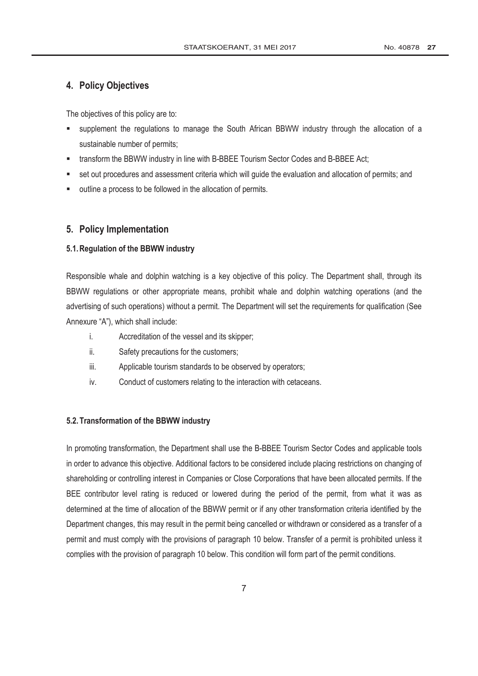## **4. Policy Objectives**

The objectives of this policy are to:

- supplement the regulations to manage the South African BBWW industry through the allocation of a sustainable number of permits;
- **\*** transform the BBWW industry in line with B-BBEE Tourism Sector Codes and B-BBEE Act;
- set out procedures and assessment criteria which will guide the evaluation and allocation of permits; and
- outline a process to be followed in the allocation of permits.

## **5. Policy Implementation**

#### **5.1.Regulation of the BBWW industry**

Responsible whale and dolphin watching is a key objective of this policy. The Department shall, through its BBWW regulations or other appropriate means, prohibit whale and dolphin watching operations (and the advertising of such operations) without a permit. The Department will set the requirements for qualification (See Annexure "A"), which shall include:

- i. Accreditation of the vessel and its skipper;
- ii. Safety precautions for the customers;
- iii. Applicable tourism standards to be observed by operators;
- iv. Conduct of customers relating to the interaction with cetaceans.

#### **5.2.Transformation of the BBWW industry**

In promoting transformation, the Department shall use the B-BBEE Tourism Sector Codes and applicable tools in order to advance this objective. Additional factors to be considered include placing restrictions on changing of shareholding or controlling interest in Companies or Close Corporations that have been allocated permits. If the BEE contributor level rating is reduced or lowered during the period of the permit, from what it was as determined at the time of allocation of the BBWW permit or if any other transformation criteria identified by the Department changes, this may result in the permit being cancelled or withdrawn or considered as a transfer of a permit and must comply with the provisions of paragraph 10 below. Transfer of a permit is prohibited unless it complies with the provision of paragraph 10 below. This condition will form part of the permit conditions.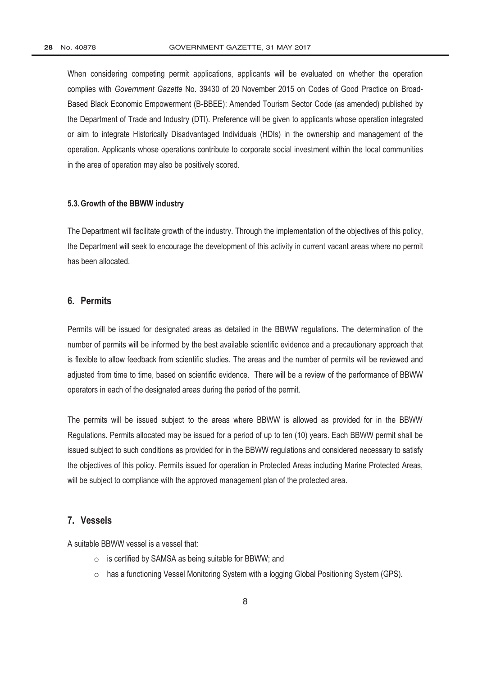When considering competing permit applications, applicants will be evaluated on whether the operation complies with *[Government Gazette](http://www.greengazette.co.za/government-gazette)* No. 39430 of 20 November 2015 on Codes of Good Practice on Broad-Based Black Economic Empowerment (B-BBEE): Amended Tourism Sector Code (as amended) published by the [Department of Trade and Industry](http://www.greengazette.co.za/departments/dti) (DTI). Preference will be given to applicants whose operation integrated or aim to integrate Historically Disadvantaged Individuals (HDIs) in the ownership and management of the operation. Applicants whose operations contribute to corporate social investment within the local communities in the area of operation may also be positively scored.

#### **5.3.Growth of the BBWW industry**

The Department will facilitate growth of the industry. Through the implementation of the objectives of this policy, the Department will seek to encourage the development of this activity in current vacant areas where no permit has been allocated.

## **6. Permits**

Permits will be issued for designated areas as detailed in the BBWW regulations. The determination of the number of permits will be informed by the best available scientific evidence and a precautionary approach that is flexible to allow feedback from scientific studies. The areas and the number of permits will be reviewed and adjusted from time to time, based on scientific evidence. There will be a review of the performance of BBWW operators in each of the designated areas during the period of the permit.

The permits will be issued subject to the areas where BBWW is allowed as provided for in the BBWW Regulations. Permits allocated may be issued for a period of up to ten (10) years. Each BBWW permit shall be issued subject to such conditions as provided for in the BBWW regulations and considered necessary to satisfy the objectives of this policy. Permits issued for operation in Protected Areas including Marine Protected Areas, will be subject to compliance with the approved management plan of the protected area.

#### **7. Vessels**

A suitable BBWW vessel is a vessel that:

- o is certified by SAMSA as being suitable for BBWW; and
- $\circ$  has a functioning Vessel Monitoring System with a logging Global Positioning System (GPS).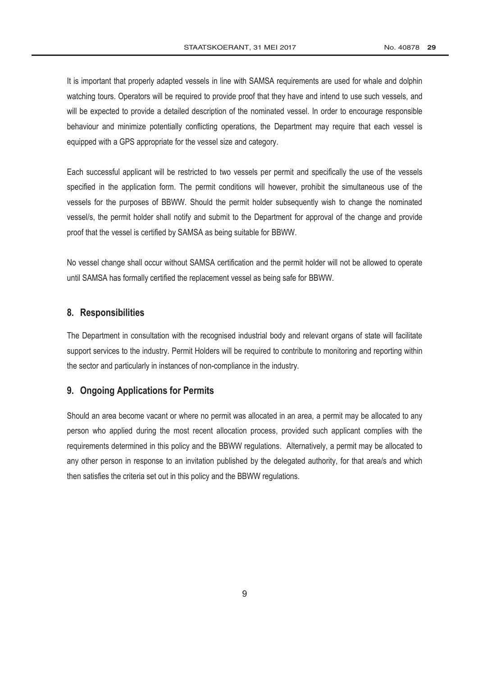It is important that properly adapted vessels in line with SAMSA requirements are used for whale and dolphin watching tours. Operators will be required to provide proof that they have and intend to use such vessels, and will be expected to provide a detailed description of the nominated vessel. In order to encourage responsible behaviour and minimize potentially conflicting operations, the Department may require that each vessel is equipped with a GPS appropriate for the vessel size and category.

Each successful applicant will be restricted to two vessels per permit and specifically the use of the vessels specified in the application form. The permit conditions will however, prohibit the simultaneous use of the vessels for the purposes of BBWW. Should the permit holder subsequently wish to change the nominated vessel/s, the permit holder shall notify and submit to the Department for approval of the change and provide proof that the vessel is certified by SAMSA as being suitable for BBWW.

No vessel change shall occur without SAMSA certification and the permit holder will not be allowed to operate until SAMSA has formally certified the replacement vessel as being safe for BBWW.

## **8. Responsibilities**

The Department in consultation with the recognised industrial body and relevant organs of state will facilitate support services to the industry. Permit Holders will be required to contribute to monitoring and reporting within the sector and particularly in instances of non-compliance in the industry.

## **9. Ongoing Applications for Permits**

Should an area become vacant or where no permit was allocated in an area, a permit may be allocated to any person who applied during the most recent allocation process, provided such applicant complies with the requirements determined in this policy and the BBWW regulations. Alternatively, a permit may be allocated to any other person in response to an invitation published by the delegated authority, for that area/s and which then satisfies the criteria set out in this policy and the BBWW regulations.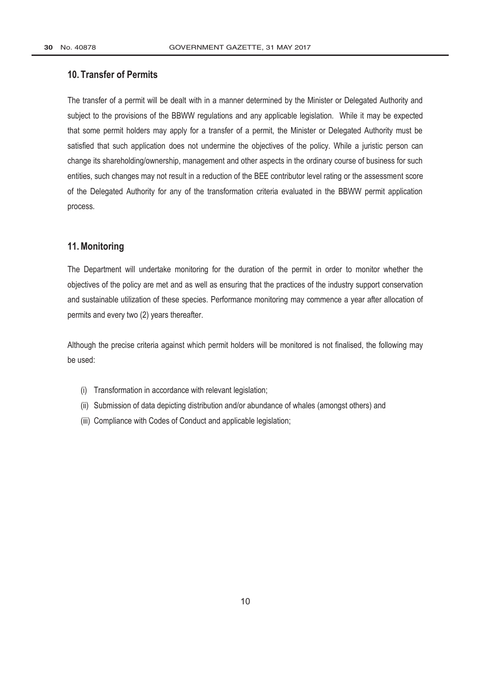## **10. Transfer of Permits**

The transfer of a permit will be dealt with in a manner determined by the Minister or Delegated Authority and subject to the provisions of the BBWW regulations and any applicable legislation. While it may be expected that some permit holders may apply for a transfer of a permit, the Minister or Delegated Authority must be satisfied that such application does not undermine the objectives of the policy. While a juristic person can change its shareholding/ownership, management and other aspects in the ordinary course of business for such entities, such changes may not result in a reduction of the BEE contributor level rating or the assessment score of the Delegated Authority for any of the transformation criteria evaluated in the BBWW permit application process.

## **11.Monitoring**

The Department will undertake monitoring for the duration of the permit in order to monitor whether the objectives of the policy are met and as well as ensuring that the practices of the industry support conservation and sustainable utilization of these species. Performance monitoring may commence a year after allocation of permits and every two (2) years thereafter.

Although the precise criteria against which permit holders will be monitored is not finalised, the following may be used:

- (i) Transformation in accordance with relevant legislation;
- (ii) Submission of data depicting distribution and/or abundance of whales (amongst others) and
- (iii) Compliance with Codes of Conduct and applicable legislation;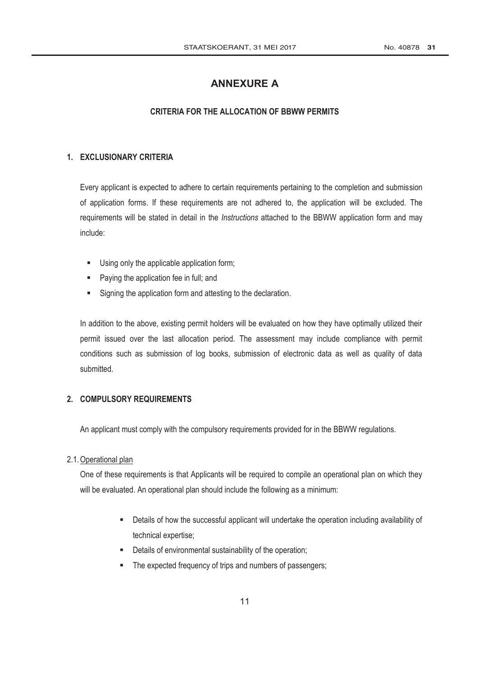## **ANNEXURE A**

## **CRITERIA FOR THE ALLOCATION OF BBWW PERMITS**

## **1. EXCLUSIONARY CRITERIA**

Every applicant is expected to adhere to certain requirements pertaining to the completion and submission of application forms. If these requirements are not adhered to, the application will be excluded. The requirements will be stated in detail in the *Instructions* attached to the BBWW application form and may include:

- Using only the applicable application form;
- Paying the application fee in full; and
- Signing the application form and attesting to the declaration.

In addition to the above, existing permit holders will be evaluated on how they have optimally utilized their permit issued over the last allocation period. The assessment may include compliance with permit conditions such as submission of log books, submission of electronic data as well as quality of data submitted.

## **2. COMPULSORY REQUIREMENTS**

An applicant must comply with the compulsory requirements provided for in the BBWW regulations.

#### 2.1.Operational plan

One of these requirements is that Applicants will be required to compile an operational plan on which they will be evaluated. An operational plan should include the following as a minimum:

- Details of how the successful applicant will undertake the operation including availability of technical expertise;
- Details of environmental sustainability of the operation;
- The expected frequency of trips and numbers of passengers;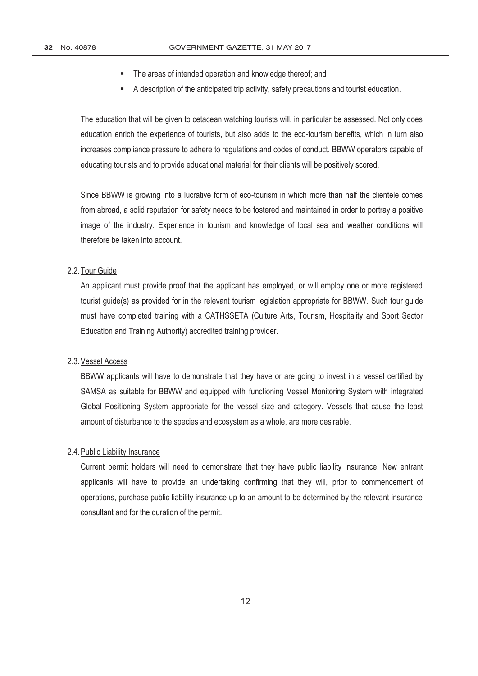- The areas of intended operation and knowledge thereof; and
- A description of the anticipated trip activity, safety precautions and tourist education.

The education that will be given to cetacean watching tourists will, in particular be assessed. Not only does education enrich the experience of tourists, but also adds to the eco-tourism benefits, which in turn also increases compliance pressure to adhere to regulations and codes of conduct. BBWW operators capable of educating tourists and to provide educational material for their clients will be positively scored.

Since BBWW is growing into a lucrative form of eco-tourism in which more than half the clientele comes from abroad, a solid reputation for safety needs to be fostered and maintained in order to portray a positive image of the industry. Experience in tourism and knowledge of local sea and weather conditions will therefore be taken into account.

#### 2.2.Tour Guide

An applicant must provide proof that the applicant has employed, or will employ one or more registered tourist guide(s) as provided for in the relevant tourism legislation appropriate for BBWW. Such tour guide must have completed training with a CATHSSETA (Culture Arts, Tourism, Hospitality and Sport Sector Education and Training Authority) accredited training provider.

#### 2.3.Vessel Access

BBWW applicants will have to demonstrate that they have or are going to invest in a vessel certified by SAMSA as suitable for BBWW and equipped with functioning Vessel Monitoring System with integrated Global Positioning System appropriate for the vessel size and category. Vessels that cause the least amount of disturbance to the species and ecosystem as a whole, are more desirable.

#### 2.4.Public Liability Insurance

Current permit holders will need to demonstrate that they have public liability insurance. New entrant applicants will have to provide an undertaking confirming that they will, prior to commencement of operations, purchase public liability insurance up to an amount to be determined by the relevant insurance consultant and for the duration of the permit.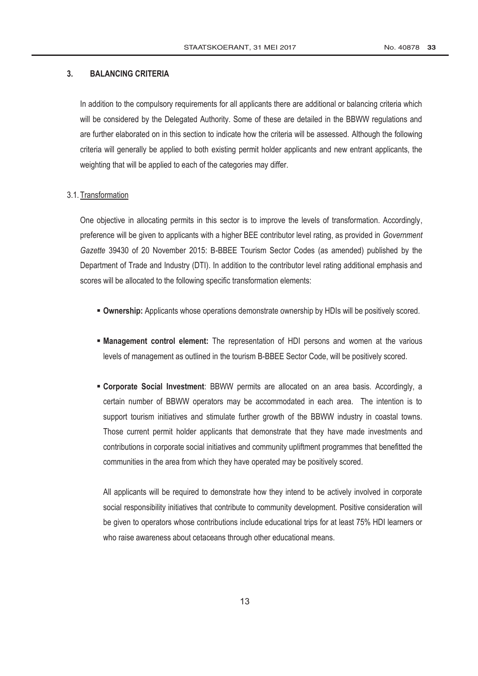#### **3. BALANCING CRITERIA**

In addition to the compulsory requirements for all applicants there are additional or balancing criteria which will be considered by the Delegated Authority. Some of these are detailed in the BBWW regulations and are further elaborated on in this section to indicate how the criteria will be assessed. Although the following criteria will generally be applied to both existing permit holder applicants and new entrant applicants, the weighting that will be applied to each of the categories may differ.

#### 3.1.Transformation

One objective in allocating permits in this sector is to improve the levels of transformation. Accordingly, preference will be given to applicants with a higher BEE contributor level rating, as provided in *[Government](http://www.greengazette.co.za/government-gazette) [Gazette](http://www.greengazette.co.za/government-gazette)* 39430 of 20 November 2015: B-BBEE Tourism Sector Codes (as amended) published by the [Department of Trade and Industry](http://www.greengazette.co.za/departments/dti) (DTI). In addition to the contributor level rating additional emphasis and scores will be allocated to the following specific transformation elements:

- **Ownership:** Applicants whose operations demonstrate ownership by HDIs will be positively scored.
- **Management control element:** The representation of HDI persons and women at the various levels of management as outlined in the tourism B-BBEE Sector Code, will be positively scored.
- **Corporate Social Investment**: BBWW permits are allocated on an area basis. Accordingly, a certain number of BBWW operators may be accommodated in each area. The intention is to support tourism initiatives and stimulate further growth of the BBWW industry in coastal towns. Those current permit holder applicants that demonstrate that they have made investments and contributions in corporate social initiatives and community upliftment programmes that benefitted the communities in the area from which they have operated may be positively scored.

All applicants will be required to demonstrate how they intend to be actively involved in corporate social responsibility initiatives that contribute to community development. Positive consideration will be given to operators whose contributions include educational trips for at least 75% HDI learners or who raise awareness about cetaceans through other educational means.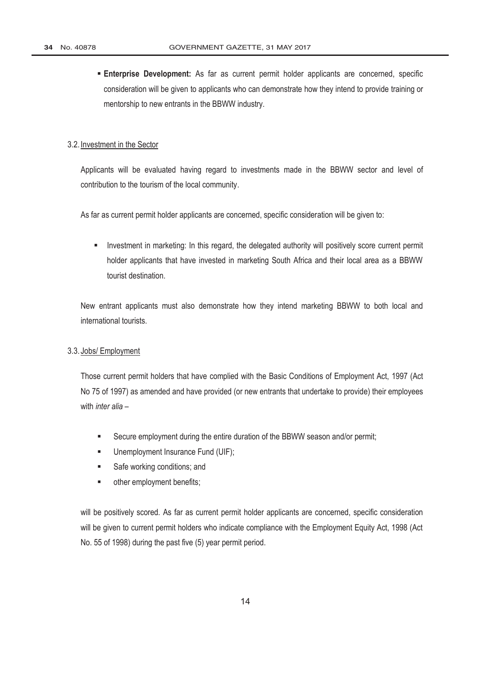**Enterprise Development:** As far as current permit holder applicants are concerned, specific consideration will be given to applicants who can demonstrate how they intend to provide training or mentorship to new entrants in the BBWW industry.

#### 3.2. Investment in the Sector

Applicants will be evaluated having regard to investments made in the BBWW sector and level of contribution to the tourism of the local community.

As far as current permit holder applicants are concerned, specific consideration will be given to:

**Investment in marketing: In this regard, the delegated authority will positively score current permit** holder applicants that have invested in marketing South Africa and their local area as a BBWW tourist destination.

New entrant applicants must also demonstrate how they intend marketing BBWW to both local and international tourists.

#### 3.3. Jobs/ Employment

Those current permit holders that have complied with the [Basic Conditions of Employment Act,](http://www.greengazette.co.za/acts/basic-conditions-of-employment-act_1997-075) 1997 (Act No 75 of 1997) as amended and have provided (or new entrants that undertake to provide) their employees with *inter alia* –

- Secure employment during the entire duration of the BBWW season and/or permit;
- **Unemployment Insurance Fund (UIF);**
- Safe working conditions; and
- **•** other employment benefits;

will be positively scored. As far as current permit holder applicants are concerned, specific consideration will be given to current permit holders who indicate compliance with the [Employment Equity Act,](http://www.greengazette.co.za/acts/employment-equity-act_1998-055) 1998 (Act No. 55 of 1998) during the past five (5) year permit period.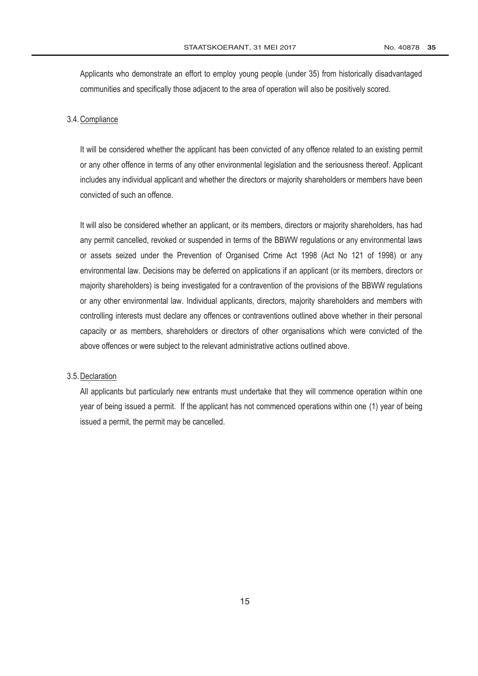Applicants who demonstrate an effort to employ young people (under 35) from historically disadvantaged communities and specifically those adjacent to the area of operation will also be positively scored.

#### 3.4.Compliance

It will be considered whether the applicant has been convicted of any offence related to an existing permit or any other offence in terms of any other environmental legislation and the seriousness thereof. Applicant includes any individual applicant and whether the directors or majority shareholders or members have been convicted of such an offence.

It will also be considered whether an applicant, or its members, directors or majority shareholders, has had any permit cancelled, revoked or suspended in terms of the BBWW regulations or any environmental laws or assets seized under the [Prevention of Organised Crime Act](http://www.greengazette.co.za/acts/prevention-of-organised-crime-act_1998-121) 1998 (Act No 121 of 1998) or any environmental law. Decisions may be deferred on applications if an applicant (or its members, directors or majority shareholders) is being investigated for a contravention of the provisions of the BBWW regulations or any other environmental law. Individual applicants, directors, majority shareholders and members with controlling interests must declare any offences or contraventions outlined above whether in their personal capacity or as members, shareholders or directors of other organisations which were convicted of the above offences or were subject to the relevant administrative actions outlined above.

#### 3.5.Declaration

All applicants but particularly new entrants must undertake that they will commence operation within one year of being issued a permit. If the applicant has not commenced operations within one (1) year of being issued a permit, the permit may be cancelled.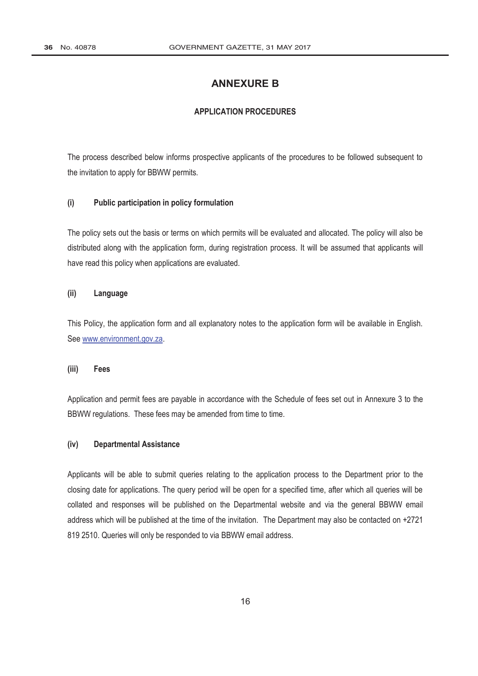## **ANNEXURE B**

## **APPLICATION PROCEDURES**

The process described below informs prospective applicants of the procedures to be followed subsequent to the invitation to apply for BBWW permits.

#### **(i) Public participation in policy formulation**

The policy sets out the basis or terms on which permits will be evaluated and allocated. The policy will also be distributed along with the application form, during registration process. It will be assumed that applicants will have read this policy when applications are evaluated.

#### **(ii) Language**

This Policy, the application form and all explanatory notes to the application form will be available in English. See www.environment.gov.za.

#### **(iii) Fees**

Application and permit fees are payable in accordance with the Schedule of fees set out in Annexure 3 to the BBWW regulations. These fees may be amended from time to time.

#### **(iv) Departmental Assistance**

Applicants will be able to submit queries relating to the application process to the Department prior to the closing date for applications. The query period will be open for a specified time, after which all queries will be collated and responses will be published on the Departmental website and via the general BBWW email address which will be published at the time of the invitation. The Department may also be contacted on +2721 819 2510. Queries will only be responded to via BBWW email address.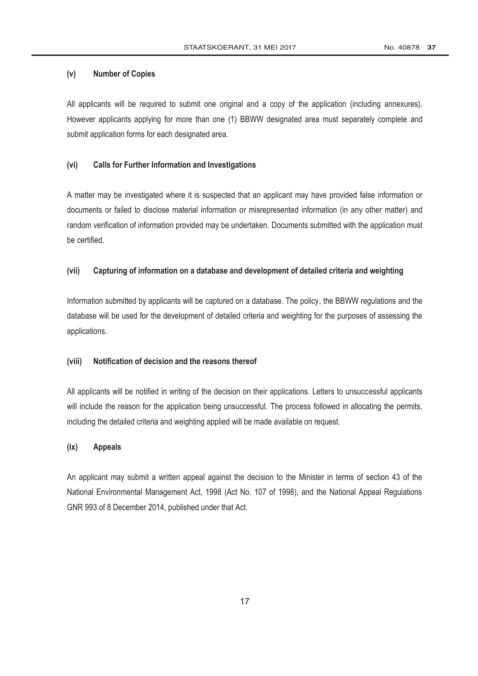#### **(v) Number of Copies**

All applicants will be required to submit one original and a copy of the application (including annexures). However applicants applying for more than one (1) BBWW designated area must separately complete and submit application forms for each designated area.

## **(vi) Calls for Further Information and Investigations**

A matter may be investigated where it is suspected that an applicant may have provided false information or documents or failed to disclose material information or misrepresented information (in any other matter) and random verification of information provided may be undertaken. Documents submitted with the application must be certified.

#### **(vii) Capturing of information on a database and development of detailed criteria and weighting**

Information submitted by applicants will be captured on a database. The policy, the BBWW regulations and the database will be used for the development of detailed criteria and weighting for the purposes of assessing the applications.

#### **(viii) Notification of decision and the reasons thereof**

All applicants will be notified in writing of the decision on their applications. Letters to unsuccessful applicants will include the reason for the application being unsuccessful. The process followed in allocating the permits, including the detailed criteria and weighting applied will be made available on request.

#### **(ix) Appeals**

An applicant may submit a written appeal against the decision to the Minister in terms of section 43 of the [National Environmental Management Act,](http://www.greengazette.co.za/acts/national-environmental-management-act_1998-107) 1998 (Act No. 107 of 1998), and the National Appeal Regulations GNR 993 of 8 December 2014, published under that Act.